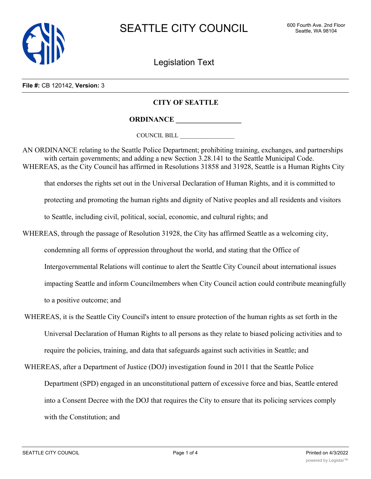

Legislation Text

## **File #:** CB 120142, **Version:** 3

## **CITY OF SEATTLE**

**ORDINANCE \_\_\_\_\_\_\_\_\_\_\_\_\_\_\_\_\_\_**

COUNCIL BILL \_\_\_\_\_\_\_\_\_\_\_\_\_\_\_\_\_\_

AN ORDINANCE relating to the Seattle Police Department; prohibiting training, exchanges, and partnerships with certain governments; and adding a new Section 3.28.141 to the Seattle Municipal Code. WHEREAS, as the City Council has affirmed in Resolutions 31858 and 31928, Seattle is a Human Rights City that endorses the rights set out in the Universal Declaration of Human Rights, and it is committed to

protecting and promoting the human rights and dignity of Native peoples and all residents and visitors

to Seattle, including civil, political, social, economic, and cultural rights; and

- WHEREAS, through the passage of Resolution 31928, the City has affirmed Seattle as a welcoming city, condemning all forms of oppression throughout the world, and stating that the Office of Intergovernmental Relations will continue to alert the Seattle City Council about international issues impacting Seattle and inform Councilmembers when City Council action could contribute meaningfully to a positive outcome; and
- WHEREAS, it is the Seattle City Council's intent to ensure protection of the human rights as set forth in the Universal Declaration of Human Rights to all persons as they relate to biased policing activities and to require the policies, training, and data that safeguards against such activities in Seattle; and
- WHEREAS, after a Department of Justice (DOJ) investigation found in 2011 that the Seattle Police Department (SPD) engaged in an unconstitutional pattern of excessive force and bias, Seattle entered into a Consent Decree with the DOJ that requires the City to ensure that its policing services comply with the Constitution; and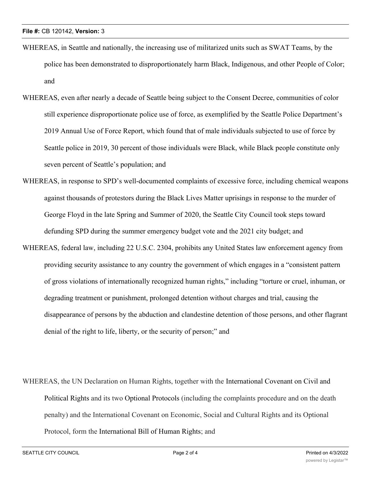- WHEREAS, in Seattle and nationally, the increasing use of militarized units such as SWAT Teams, by the police has been demonstrated to disproportionately harm Black, Indigenous, and other People of Color; and
- WHEREAS, even after nearly a decade of Seattle being subject to the Consent Decree, communities of color still experience disproportionate police use of force, as exemplified by the Seattle Police Department's 2019 Annual Use of Force Report, which found that of male individuals subjected to use of force by Seattle police in 2019, 30 percent of those individuals were Black, while Black people constitute only seven percent of Seattle's population; and
- WHEREAS, in response to SPD's well-documented complaints of excessive force, including chemical weapons against thousands of protestors during the Black Lives Matter uprisings in response to the murder of George Floyd in the late Spring and Summer of 2020, the Seattle City Council took steps toward defunding SPD during the summer emergency budget vote and the 2021 city budget; and
- WHEREAS, federal law, including 22 U.S.C. 2304, prohibits any United States law enforcement agency from providing security assistance to any country the government of which engages in a "consistent pattern of gross violations of internationally recognized human rights," including "torture or cruel, inhuman, or degrading treatment or punishment, prolonged detention without charges and trial, causing the disappearance of persons by the abduction and clandestine detention of those persons, and other flagrant denial of the right to life, liberty, or the security of person;" and
- WHEREAS, the UN Declaration on Human Rights, together with the International Covenant on Civil and Political Rights and its two Optional Protocols (including the complaints procedure and on the death penalty) and the International Covenant on Economic, Social and Cultural Rights and its Optional Protocol, form the International Bill of Human Rights; and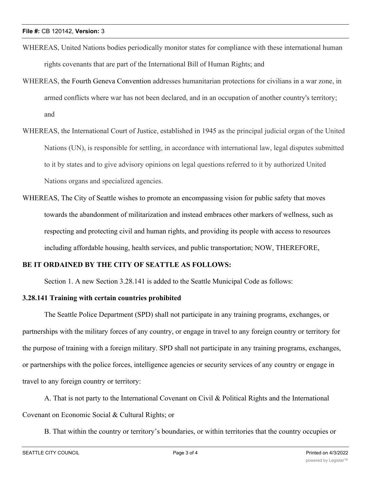- WHEREAS, United Nations bodies periodically monitor states for compliance with these international human rights covenants that are part of the International Bill of Human Rights; and
- WHEREAS, the Fourth Geneva Convention addresses humanitarian protections for civilians in a war zone, in armed conflicts where war has not been declared, and in an occupation of another country's territory; and
- WHEREAS, the International Court of Justice, established in 1945 as the principal judicial organ of the United Nations (UN), is responsible for settling, in accordance with international law, legal disputes submitted to it by states and to give advisory opinions on legal questions referred to it by authorized United Nations organs and specialized agencies.
- WHEREAS, The City of Seattle wishes to promote an encompassing vision for public safety that moves towards the abandonment of militarization and instead embraces other markers of wellness, such as respecting and protecting civil and human rights, and providing its people with access to resources including affordable housing, health services, and public transportation; NOW, THEREFORE,

## **BE IT ORDAINED BY THE CITY OF SEATTLE AS FOLLOWS:**

Section 1. A new Section 3.28.141 is added to the Seattle Municipal Code as follows:

## **3.28.141 Training with certain countries prohibited**

The Seattle Police Department (SPD) shall not participate in any training programs, exchanges, or partnerships with the military forces of any country, or engage in travel to any foreign country or territory for the purpose of training with a foreign military. SPD shall not participate in any training programs, exchanges, or partnerships with the police forces, intelligence agencies or security services of any country or engage in travel to any foreign country or territory:

A. That is not party to the International Covenant on Civil & Political Rights and the International Covenant on Economic Social & Cultural Rights; or

B. That within the country or territory's boundaries, or within territories that the country occupies or